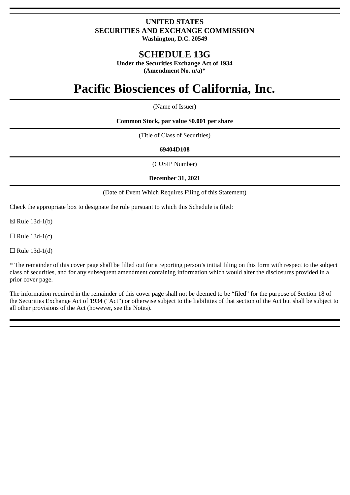# **UNITED STATES SECURITIES AND EXCHANGE COMMISSION Washington, D.C. 20549**

# **SCHEDULE 13G**

**Under the Securities Exchange Act of 1934 (Amendment No. n/a)\***

# **Pacific Biosciences of California, Inc.**

(Name of Issuer)

**Common Stock, par value \$0.001 per share**

(Title of Class of Securities)

## **69404D108**

(CUSIP Number)

## **December 31, 2021**

(Date of Event Which Requires Filing of this Statement)

Check the appropriate box to designate the rule pursuant to which this Schedule is filed:

☒ Rule 13d-1(b)

 $\Box$  Rule 13d-1(c)

 $\Box$  Rule 13d-1(d)

\* The remainder of this cover page shall be filled out for a reporting person's initial filing on this form with respect to the subject class of securities, and for any subsequent amendment containing information which would alter the disclosures provided in a prior cover page.

The information required in the remainder of this cover page shall not be deemed to be "filed" for the purpose of Section 18 of the Securities Exchange Act of 1934 ("Act") or otherwise subject to the liabilities of that section of the Act but shall be subject to all other provisions of the Act (however, see the Notes).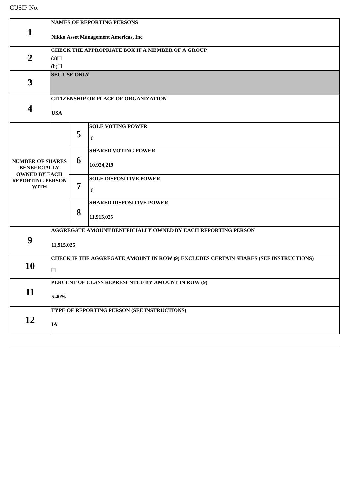# CUSIP No.

| $\mathbf{1}$                                                           | <b>NAMES OF REPORTING PERSONS</b><br>Nikko Asset Management Americas, Inc.                    |   |                                               |
|------------------------------------------------------------------------|-----------------------------------------------------------------------------------------------|---|-----------------------------------------------|
| $\overline{2}$                                                         | <b>CHECK THE APPROPRIATE BOX IF A MEMBER OF A GROUP</b><br>(a)<br>(b)                         |   |                                               |
| 3                                                                      | <b>SEC USE ONLY</b>                                                                           |   |                                               |
| $\boldsymbol{4}$                                                       | <b>CITIZENSHIP OR PLACE OF ORGANIZATION</b><br><b>USA</b>                                     |   |                                               |
|                                                                        |                                                                                               | 5 | <b>SOLE VOTING POWER</b><br>$\bf{0}$          |
| <b>NUMBER OF SHARES</b><br><b>BENEFICIALLY</b><br><b>OWNED BY EACH</b> |                                                                                               | 6 | <b>SHARED VOTING POWER</b><br>10,924,219      |
| <b>REPORTING PERSON</b><br><b>WITH</b>                                 |                                                                                               | 7 | <b>SOLE DISPOSITIVE POWER</b><br>$\bf{0}$     |
|                                                                        |                                                                                               | 8 | <b>SHARED DISPOSITIVE POWER</b><br>11,915,025 |
| 9                                                                      | AGGREGATE AMOUNT BENEFICIALLY OWNED BY EACH REPORTING PERSON<br>11,915,025                    |   |                                               |
| 10                                                                     | CHECK IF THE AGGREGATE AMOUNT IN ROW (9) EXCLUDES CERTAIN SHARES (SEE INSTRUCTIONS)<br>$\Box$ |   |                                               |
| 11                                                                     | PERCENT OF CLASS REPRESENTED BY AMOUNT IN ROW (9)<br>5.40%                                    |   |                                               |
| 12                                                                     | TYPE OF REPORTING PERSON (SEE INSTRUCTIONS)<br>$I\!\!A$                                       |   |                                               |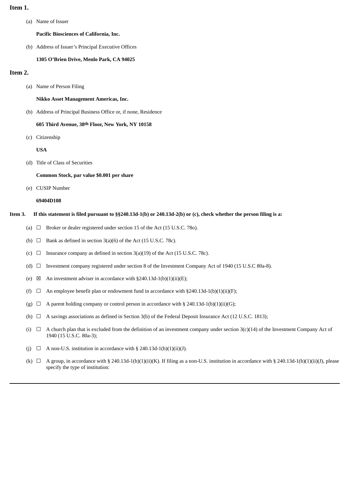#### **Item 1.**

(a) Name of Issuer

**Pacific Biosciences of California, Inc.**

(b) Address of Issuer's Principal Executive Offices

#### **1305 O'Brien Drive, Menlo Park, CA 94025**

#### **Item 2.**

(a) Name of Person Filing

**Nikko Asset Management Americas, Inc.**

(b) Address of Principal Business Office or, if none, Residence

#### **605 Third Avenue, 38th Floor, New York, NY 10158**

(c) Citizenship

**USA**

(d) Title of Class of Securities

#### **Common Stock, par value \$0.001 per share**

(e) CUSIP Number

#### **69404D108**

- Item 3. If this statement is filed pursuant to §§240.13d-1(b) or 240.13d-2(b) or (c), check whether the person filing is a:
	- (a)  $\Box$  Broker or dealer registered under section 15 of the Act (15 U.S.C. 780).
	- (b)  $\Box$  Bank as defined in section 3(a)(6) of the Act (15 U.S.C. 78c).
	- (c)  $\Box$  Insurance company as defined in section 3(a)(19) of the Act (15 U.S.C. 78c).
	- (d) ☐ Investment company registered under section 8 of the Investment Company Act of 1940 (15 U.S.C 80a-8).
	- (e)  $\boxtimes$  An investment adviser in accordance with §240.13d-1(b)(1)(ii)(E);
	- (f)  $\Box$  An employee benefit plan or endowment fund in accordance with §240.13d-1(b)(1)(ii)(F);
	- (g)  $\Box$  A parent holding company or control person in accordance with § 240.13d-1(b)(1)(ii)(G);
	- (h)  $\Box$  A savings associations as defined in Section 3(b) of the Federal Deposit Insurance Act (12 U.S.C. 1813);
	- (i)  $□$  A church plan that is excluded from the definition of an investment company under section 3(c)(14) of the Investment Company Act of 1940 (15 U.S.C. 80a-3);
	- (i)  $\Box$  A non-U.S. institution in accordance with § 240.13d-1(b)(1)(ii)(J).
	- (k)  $\Box$  A group, in accordance with § 240.13d-1(b)(1)(ii)(K). If filing as a non-U.S. institution in accordance with § 240.13d-1(b)(1)(ii)(J), please specify the type of institution: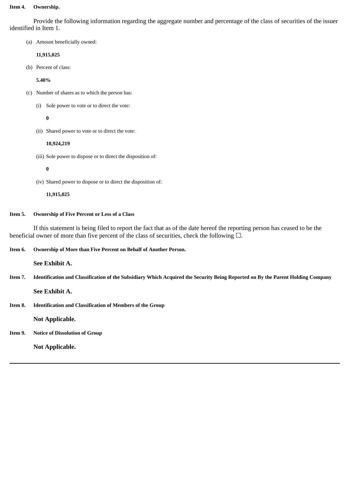#### **Item 4. Ownership.**

Provide the following information regarding the aggregate number and percentage of the class of securities of the issuer identified in Item 1.

(a) Amount beneficially owned:

## **11,915,025**

(b) Percent of class:

#### **5.40%**

- (c) Number of shares as to which the person has:
	- (i) Sole power to vote or to direct the vote:

# **0**

(ii) Shared power to vote or to direct the vote:

## **10,924,219**

(iii) Sole power to dispose or to direct the disposition of:

**0**

(iv) Shared power to dispose or to direct the disposition of:

**11,915,025**

## **Item 5. Ownership of Five Percent or Less of a Class**

If this statement is being filed to report the fact that as of the date hereof the reporting person has ceased to be the beneficial owner of more than five percent of the class of securities, check the following  $\Box$ .

# **Item 6. Ownership of More than Five Percent on Behalf of Another Person.**

**See Exhibit A.**

Item 7. Identification and Classification of the Subsidiary Which Acquired the Security Being Reported on By the Parent Holding Company

**See Exhibit A.**

# **Item 8. Identification and Classification of Members of the Group**

**Not Applicable.**

# **Item 9. Notice of Dissolution of Group**

**Not Applicable.**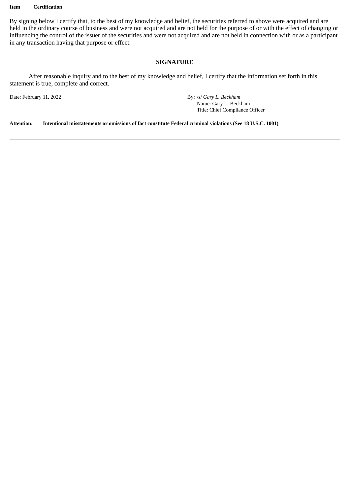#### **Item Certification**

By signing below I certify that, to the best of my knowledge and belief, the securities referred to above were acquired and are held in the ordinary course of business and were not acquired and are not held for the purpose of or with the effect of changing or influencing the control of the issuer of the securities and were not acquired and are not held in connection with or as a participant in any transaction having that purpose or effect.

# **SIGNATURE**

After reasonable inquiry and to the best of my knowledge and belief, I certify that the information set forth in this statement is true, complete and correct.

Date: February 11, 2022 By: /s/ *Gary L. Beckham* Name: Gary L. Beckham Title: Chief Compliance Officer

**Attention: Intentional misstatements or omissions of fact constitute Federal criminal violations (See 18 U.S.C. 1001)**